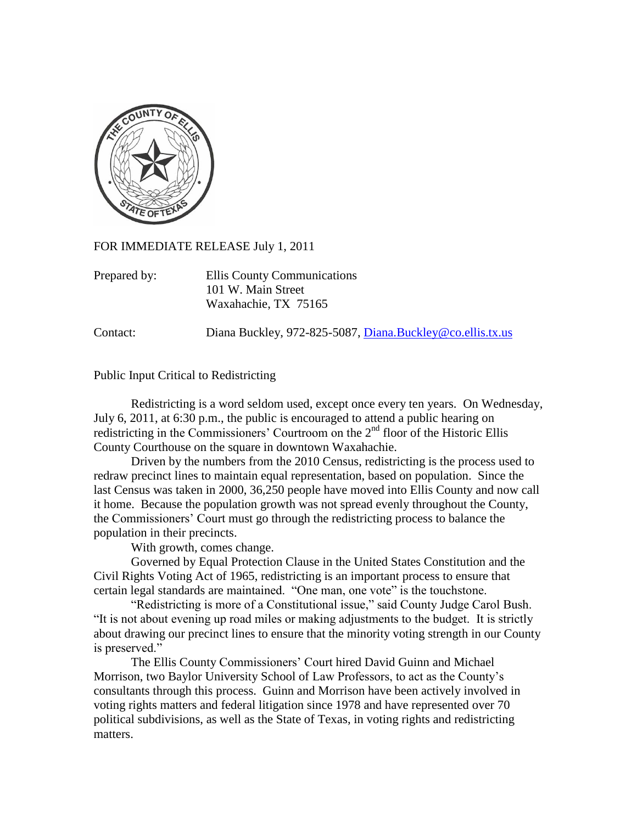

FOR IMMEDIATE RELEASE July 1, 2011

Prepared by: Ellis County Communications 101 W. Main Street Waxahachie, TX 75165

Contact: Diana Buckley, 972-825-5087, [Diana.Buckley@co.ellis.tx.us](mailto:Diana.Buckley@co.ellis.tx.us)

## Public Input Critical to Redistricting

Redistricting is a word seldom used, except once every ten years. On Wednesday, July 6, 2011, at 6:30 p.m., the public is encouraged to attend a public hearing on redistricting in the Commissioners' Courtroom on the  $2<sup>nd</sup>$  floor of the Historic Ellis County Courthouse on the square in downtown Waxahachie.

Driven by the numbers from the 2010 Census, redistricting is the process used to redraw precinct lines to maintain equal representation, based on population. Since the last Census was taken in 2000, 36,250 people have moved into Ellis County and now call it home. Because the population growth was not spread evenly throughout the County, the Commissioners' Court must go through the redistricting process to balance the population in their precincts.

With growth, comes change.

Governed by Equal Protection Clause in the United States Constitution and the Civil Rights Voting Act of 1965, redistricting is an important process to ensure that certain legal standards are maintained. "One man, one vote" is the touchstone.

"Redistricting is more of a Constitutional issue," said County Judge Carol Bush. "It is not about evening up road miles or making adjustments to the budget. It is strictly about drawing our precinct lines to ensure that the minority voting strength in our County is preserved."

The Ellis County Commissioners' Court hired David Guinn and Michael Morrison, two Baylor University School of Law Professors, to act as the County's consultants through this process. Guinn and Morrison have been actively involved in voting rights matters and federal litigation since 1978 and have represented over 70 political subdivisions, as well as the State of Texas, in voting rights and redistricting matters.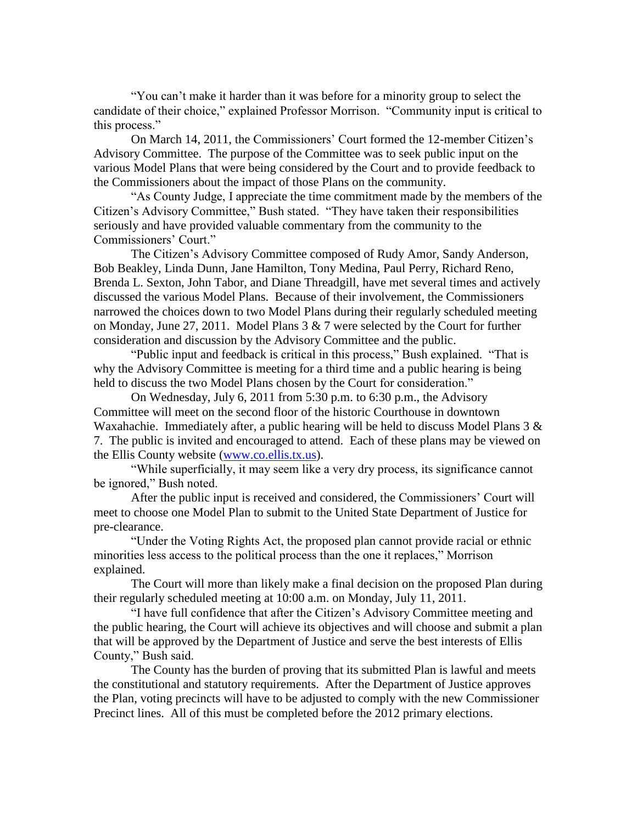"You can't make it harder than it was before for a minority group to select the candidate of their choice," explained Professor Morrison. "Community input is critical to this process."

On March 14, 2011, the Commissioners' Court formed the 12-member Citizen's Advisory Committee. The purpose of the Committee was to seek public input on the various Model Plans that were being considered by the Court and to provide feedback to the Commissioners about the impact of those Plans on the community.

"As County Judge, I appreciate the time commitment made by the members of the Citizen's Advisory Committee," Bush stated. "They have taken their responsibilities seriously and have provided valuable commentary from the community to the Commissioners' Court."

The Citizen's Advisory Committee composed of Rudy Amor, Sandy Anderson, Bob Beakley, Linda Dunn, Jane Hamilton, Tony Medina, Paul Perry, Richard Reno, Brenda L. Sexton, John Tabor, and Diane Threadgill, have met several times and actively discussed the various Model Plans. Because of their involvement, the Commissioners narrowed the choices down to two Model Plans during their regularly scheduled meeting on Monday, June 27, 2011. Model Plans 3 & 7 were selected by the Court for further consideration and discussion by the Advisory Committee and the public.

 "Public input and feedback is critical in this process," Bush explained. "That is why the Advisory Committee is meeting for a third time and a public hearing is being held to discuss the two Model Plans chosen by the Court for consideration."

On Wednesday, July 6, 2011 from 5:30 p.m. to 6:30 p.m., the Advisory Committee will meet on the second floor of the historic Courthouse in downtown Waxahachie. Immediately after, a public hearing will be held to discuss Model Plans  $3 \&$ 7. The public is invited and encouraged to attend. Each of these plans may be viewed on the Ellis County website [\(www.co.ellis.tx.us\)](http://www.co.ellis.tx.us/).

"While superficially, it may seem like a very dry process, its significance cannot be ignored," Bush noted.

After the public input is received and considered, the Commissioners' Court will meet to choose one Model Plan to submit to the United State Department of Justice for pre-clearance.

"Under the Voting Rights Act, the proposed plan cannot provide racial or ethnic minorities less access to the political process than the one it replaces," Morrison explained.

The Court will more than likely make a final decision on the proposed Plan during their regularly scheduled meeting at 10:00 a.m. on Monday, July 11, 2011.

"I have full confidence that after the Citizen's Advisory Committee meeting and the public hearing, the Court will achieve its objectives and will choose and submit a plan that will be approved by the Department of Justice and serve the best interests of Ellis County," Bush said.

The County has the burden of proving that its submitted Plan is lawful and meets the constitutional and statutory requirements. After the Department of Justice approves the Plan, voting precincts will have to be adjusted to comply with the new Commissioner Precinct lines. All of this must be completed before the 2012 primary elections.